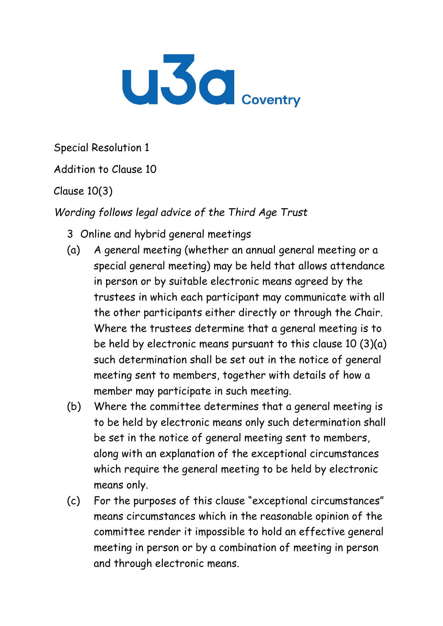

Special Resolution 1

Addition to Clause 10

Clause 10(3)

*Wording follows legal advice of the Third Age Trust*

- 3 Online and hybrid general meetings
- (a) A general meeting (whether an annual general meeting or a special general meeting) may be held that allows attendance in person or by suitable electronic means agreed by the trustees in which each participant may communicate with all the other participants either directly or through the Chair. Where the trustees determine that a general meeting is to be held by electronic means pursuant to this clause 10 (3)(a) such determination shall be set out in the notice of general meeting sent to members, together with details of how a member may participate in such meeting.
- (b) Where the committee determines that a general meeting is to be held by electronic means only such determination shall be set in the notice of general meeting sent to members, along with an explanation of the exceptional circumstances which require the general meeting to be held by electronic means only.
- (c) For the purposes of this clause "exceptional circumstances" means circumstances which in the reasonable opinion of the committee render it impossible to hold an effective general meeting in person or by a combination of meeting in person and through electronic means.